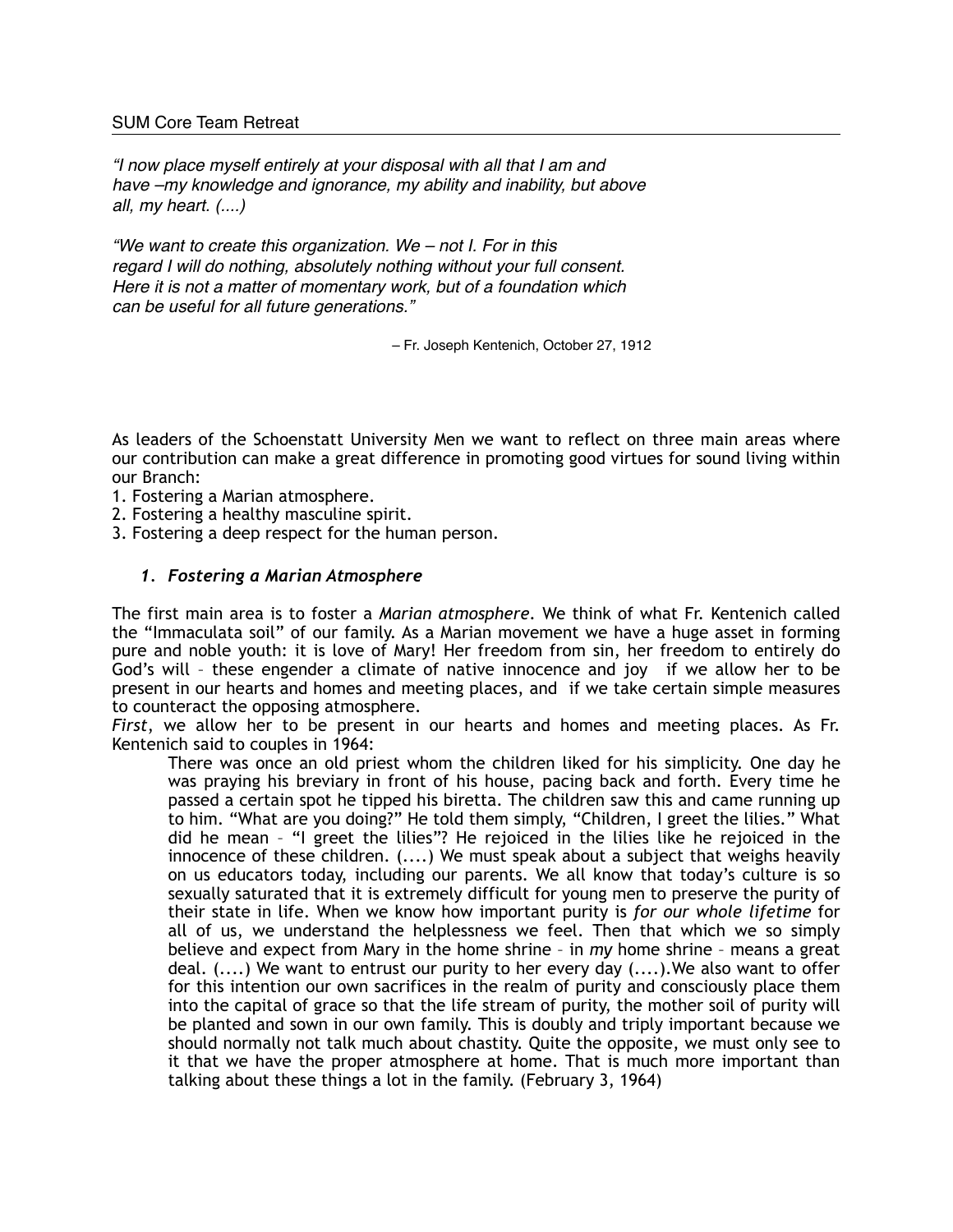## SUM Core Team Retreat

*"I now place myself entirely at your disposal with all that I am and have –my knowledge and ignorance, my ability and inability, but above all, my heart. (....)*

*"We want to create this organization. We – not I. For in this regard I will do nothing, absolutely nothing without your full consent. Here it is not a matter of momentary work, but of a foundation which can be useful for all future generations."*

– Fr. Joseph Kentenich, October 27, 1912

As leaders of the Schoenstatt University Men we want to reflect on three main areas where our contribution can make a great difference in promoting good virtues for sound living within our Branch:

- 1. Fostering a Marian atmosphere.
- 2. Fostering a healthy masculine spirit.
- 3. Fostering a deep respect for the human person.

## *1. Fostering a Marian Atmosphere*

The first main area is to foster a *Marian atmosphere*. We think of what Fr. Kentenich called the "Immaculata soil" of our family. As a Marian movement we have a huge asset in forming pure and noble youth: it is love of Mary! Her freedom from sin, her freedom to entirely do God's will – these engender a climate of native innocence and joy if we allow her to be present in our hearts and homes and meeting places, and if we take certain simple measures to counteract the opposing atmosphere.

*First*, we allow her to be present in our hearts and homes and meeting places. As Fr. Kentenich said to couples in 1964:

There was once an old priest whom the children liked for his simplicity. One day he was praying his breviary in front of his house, pacing back and forth. Every time he passed a certain spot he tipped his biretta. The children saw this and came running up to him. "What are you doing?" He told them simply, "Children, I greet the lilies." What did he mean – "I greet the lilies"? He rejoiced in the lilies like he rejoiced in the innocence of these children. (....) We must speak about a subject that weighs heavily on us educators today, including our parents. We all know that today's culture is so sexually saturated that it is extremely difficult for young men to preserve the purity of their state in life. When we know how important purity is *for our whole lifetime* for all of us, we understand the helplessness we feel. Then that which we so simply believe and expect from Mary in the home shrine – in *my* home shrine – means a great deal. (....) We want to entrust our purity to her every day (....).We also want to offer for this intention our own sacrifices in the realm of purity and consciously place them into the capital of grace so that the life stream of purity, the mother soil of purity will be planted and sown in our own family. This is doubly and triply important because we should normally not talk much about chastity. Quite the opposite, we must only see to it that we have the proper atmosphere at home. That is much more important than talking about these things a lot in the family. (February 3, 1964)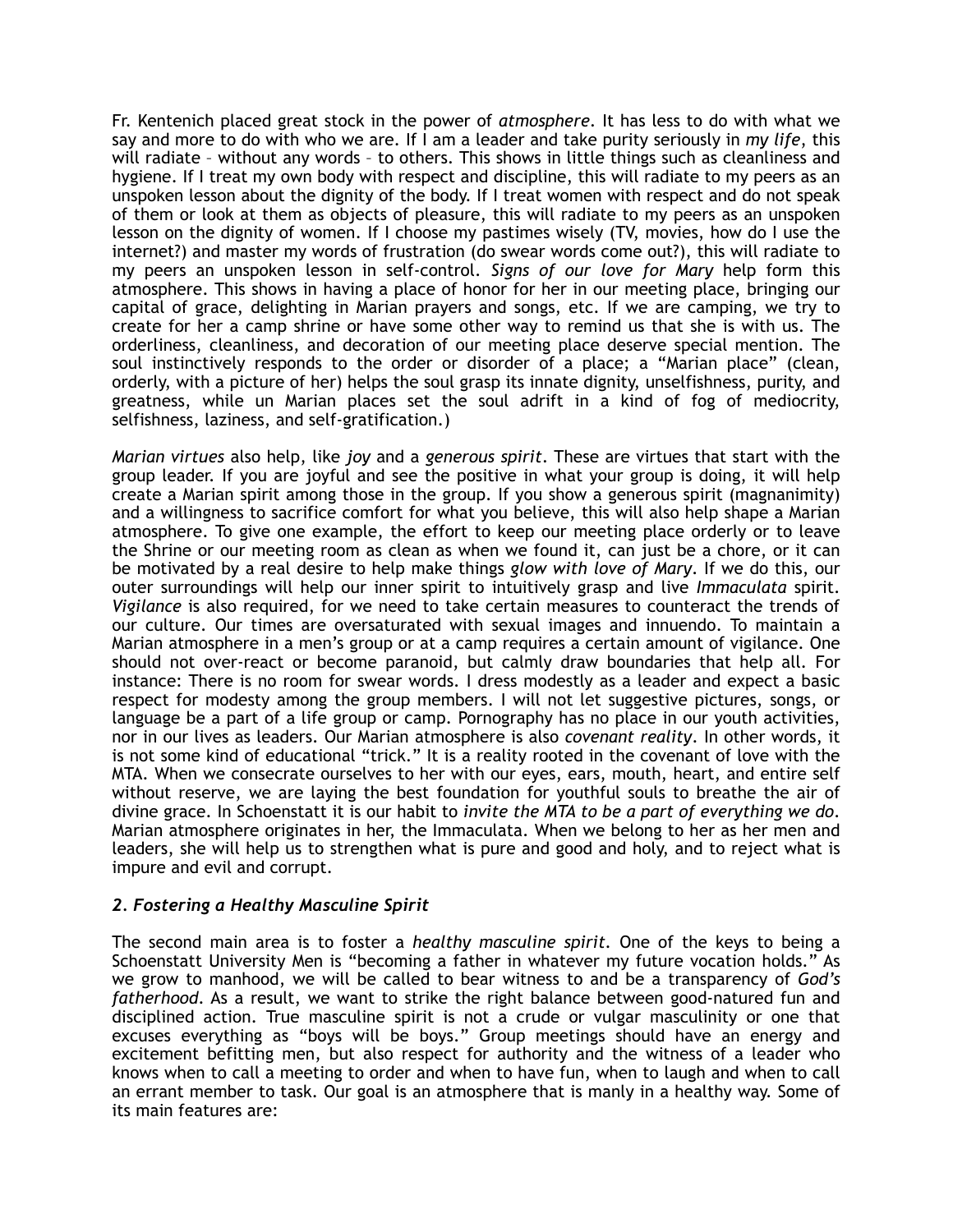Fr. Kentenich placed great stock in the power of *atmosphere*. It has less to do with what we say and more to do with who we are. If I am a leader and take purity seriously in *my life*, this will radiate – without any words – to others. This shows in little things such as cleanliness and hygiene. If I treat my own body with respect and discipline, this will radiate to my peers as an unspoken lesson about the dignity of the body. If I treat women with respect and do not speak of them or look at them as objects of pleasure, this will radiate to my peers as an unspoken lesson on the dignity of women. If I choose my pastimes wisely (TV, movies, how do I use the internet?) and master my words of frustration (do swear words come out?), this will radiate to my peers an unspoken lesson in self-control. *Signs of our love for Mary* help form this atmosphere. This shows in having a place of honor for her in our meeting place, bringing our capital of grace, delighting in Marian prayers and songs, etc. If we are camping, we try to create for her a camp shrine or have some other way to remind us that she is with us. The orderliness, cleanliness, and decoration of our meeting place deserve special mention. The soul instinctively responds to the order or disorder of a place; a "Marian place" (clean, orderly, with a picture of her) helps the soul grasp its innate dignity, unselfishness, purity, and greatness, while un Marian places set the soul adrift in a kind of fog of mediocrity, selfishness, laziness, and self-gratification.)

*Marian virtues* also help, like *joy* and a *generous spirit*. These are virtues that start with the group leader. If you are joyful and see the positive in what your group is doing, it will help create a Marian spirit among those in the group. If you show a generous spirit (magnanimity) and a willingness to sacrifice comfort for what you believe, this will also help shape a Marian atmosphere. To give one example, the effort to keep our meeting place orderly or to leave the Shrine or our meeting room as clean as when we found it, can just be a chore, or it can be motivated by a real desire to help make things *glow with love of Mary*. If we do this, our outer surroundings will help our inner spirit to intuitively grasp and live *Immaculata* spirit. *Vigilance* is also required, for we need to take certain measures to counteract the trends of our culture. Our times are oversaturated with sexual images and innuendo. To maintain a Marian atmosphere in a men's group or at a camp requires a certain amount of vigilance. One should not over-react or become paranoid, but calmly draw boundaries that help all. For instance: There is no room for swear words. I dress modestly as a leader and expect a basic respect for modesty among the group members. I will not let suggestive pictures, songs, or language be a part of a life group or camp. Pornography has no place in our youth activities, nor in our lives as leaders. Our Marian atmosphere is also *covenant reality*. In other words, it is not some kind of educational "trick." It is a reality rooted in the covenant of love with the MTA. When we consecrate ourselves to her with our eyes, ears, mouth, heart, and entire self without reserve, we are laying the best foundation for youthful souls to breathe the air of divine grace. In Schoenstatt it is our habit to *invite the MTA to be a part of everything we do*. Marian atmosphere originates in her, the Immaculata. When we belong to her as her men and leaders, she will help us to strengthen what is pure and good and holy, and to reject what is impure and evil and corrupt.

## *2. Fostering a Healthy Masculine Spirit*

The second main area is to foster a *healthy masculine spirit.* One of the keys to being a Schoenstatt University Men is "becoming a father in whatever my future vocation holds." As we grow to manhood, we will be called to bear witness to and be a transparency of *God's fatherhood*. As a result, we want to strike the right balance between good-natured fun and disciplined action. True masculine spirit is not a crude or vulgar masculinity or one that excuses everything as "boys will be boys." Group meetings should have an energy and excitement befitting men, but also respect for authority and the witness of a leader who knows when to call a meeting to order and when to have fun, when to laugh and when to call an errant member to task. Our goal is an atmosphere that is manly in a healthy way. Some of its main features are: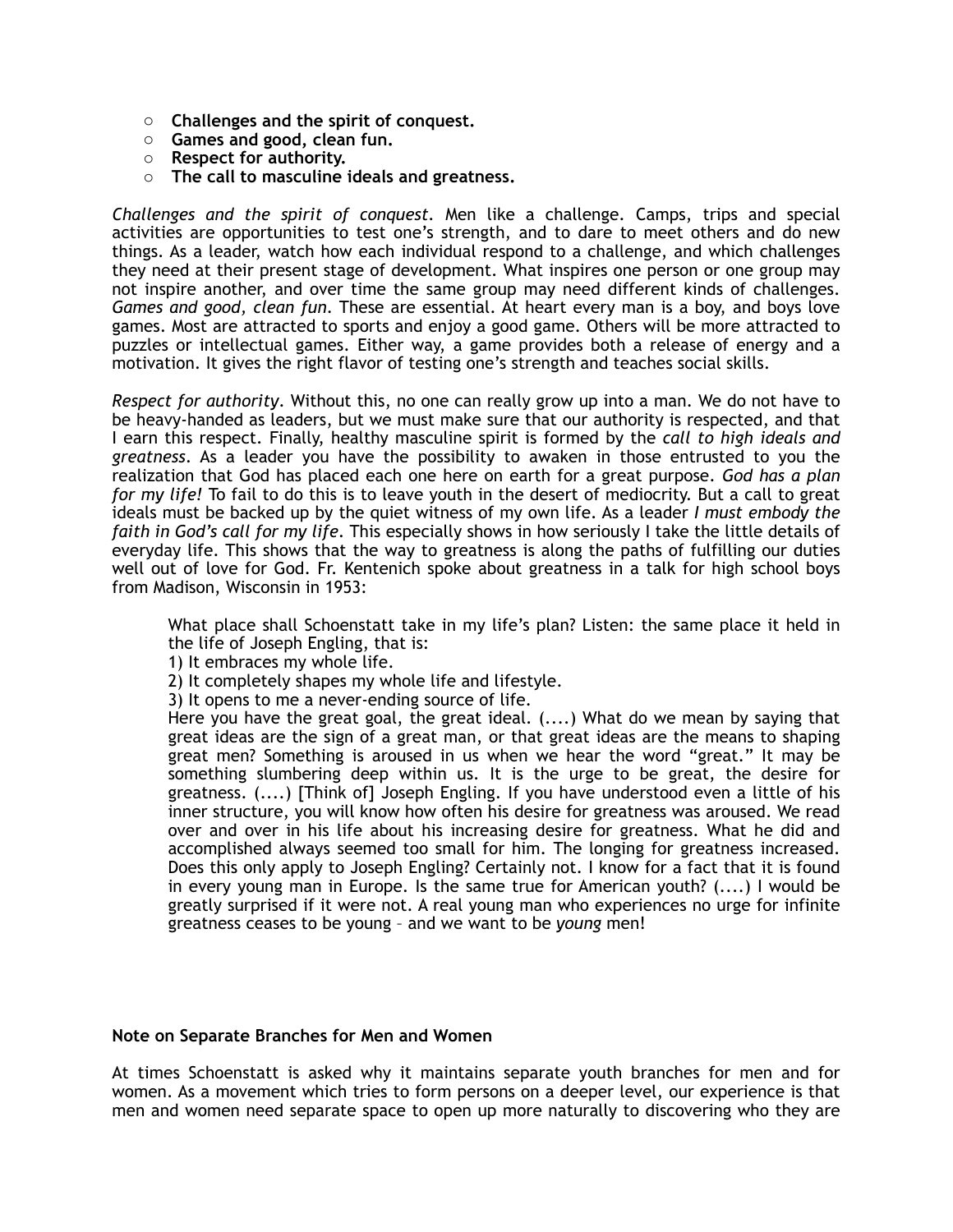- o **Challenges and the spirit of conquest.**
- o **Games and good, clean fun.**
- o **Respect for authority.**
- o **The call to masculine ideals and greatness.**

*Challenges and the spirit of conquest.* Men like a challenge. Camps, trips and special activities are opportunities to test one's strength, and to dare to meet others and do new things. As a leader, watch how each individual respond to a challenge, and which challenges they need at their present stage of development. What inspires one person or one group may not inspire another, and over time the same group may need different kinds of challenges. *Games and good, clean fun*. These are essential. At heart every man is a boy, and boys love games. Most are attracted to sports and enjoy a good game. Others will be more attracted to puzzles or intellectual games. Either way, a game provides both a release of energy and a motivation. It gives the right flavor of testing one's strength and teaches social skills.

*Respect for authority*. Without this, no one can really grow up into a man. We do not have to be heavy-handed as leaders, but we must make sure that our authority is respected, and that I earn this respect. Finally, healthy masculine spirit is formed by the *call to high ideals and greatness*. As a leader you have the possibility to awaken in those entrusted to you the realization that God has placed each one here on earth for a great purpose. *God has a plan for my life!* To fail to do this is to leave youth in the desert of mediocrity. But a call to great ideals must be backed up by the quiet witness of my own life. As a leader *I must embody the faith in God's call for my life*. This especially shows in how seriously I take the little details of everyday life. This shows that the way to greatness is along the paths of fulfilling our duties well out of love for God. Fr. Kentenich spoke about greatness in a talk for high school boys from Madison, Wisconsin in 1953:

What place shall Schoenstatt take in my life's plan? Listen: the same place it held in the life of Joseph Engling, that is:

- 1) It embraces my whole life.
- 2) It completely shapes my whole life and lifestyle.
- 3) It opens to me a never-ending source of life.

Here you have the great goal, the great ideal. (....) What do we mean by saying that great ideas are the sign of a great man, or that great ideas are the means to shaping great men? Something is aroused in us when we hear the word "great." It may be something slumbering deep within us. It is the urge to be great, the desire for greatness. (....) [Think of] Joseph Engling. If you have understood even a little of his inner structure, you will know how often his desire for greatness was aroused. We read over and over in his life about his increasing desire for greatness. What he did and accomplished always seemed too small for him. The longing for greatness increased. Does this only apply to Joseph Engling? Certainly not. I know for a fact that it is found in every young man in Europe. Is the same true for American youth? (....) I would be greatly surprised if it were not. A real young man who experiences no urge for infinite greatness ceases to be young – and we want to be *young* men!

#### **Note on Separate Branches for Men and Women**

At times Schoenstatt is asked why it maintains separate youth branches for men and for women. As a movement which tries to form persons on a deeper level, our experience is that men and women need separate space to open up more naturally to discovering who they are